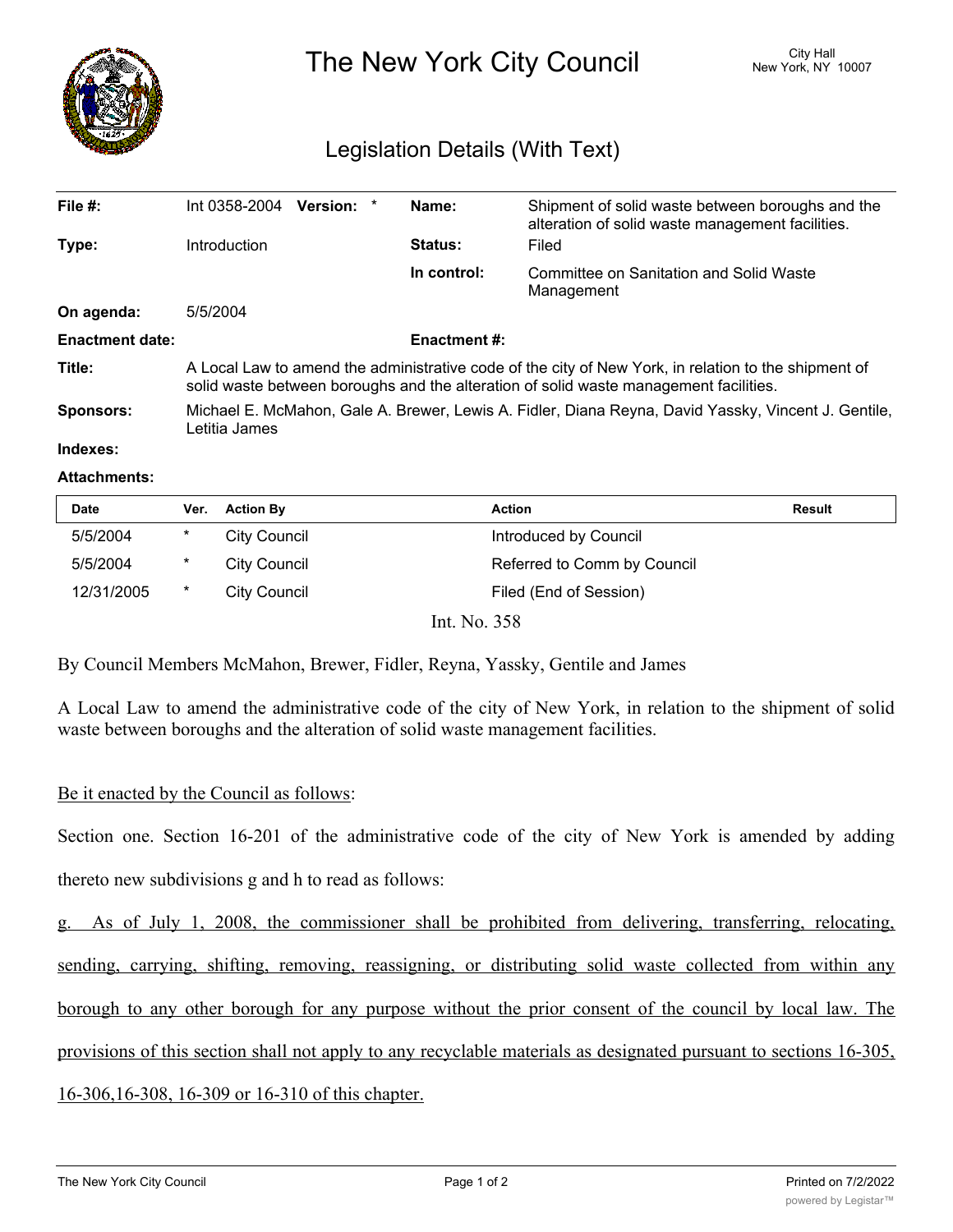

The New York City Council New York, NY 10007

## Legislation Details (With Text)

| File $#$ :             | Int 0358-2004<br><b>Version:</b><br>*                                                                                                                                                         | Name:          | Shipment of solid waste between boroughs and the<br>alteration of solid waste management facilities. |  |  |
|------------------------|-----------------------------------------------------------------------------------------------------------------------------------------------------------------------------------------------|----------------|------------------------------------------------------------------------------------------------------|--|--|
| Type:                  | Introduction                                                                                                                                                                                  | <b>Status:</b> | Filed                                                                                                |  |  |
|                        |                                                                                                                                                                                               | In control:    | Committee on Sanitation and Solid Waste<br>Management                                                |  |  |
| On agenda:             | 5/5/2004                                                                                                                                                                                      |                |                                                                                                      |  |  |
| <b>Enactment date:</b> | <b>Enactment #:</b>                                                                                                                                                                           |                |                                                                                                      |  |  |
| Title:                 | A Local Law to amend the administrative code of the city of New York, in relation to the shipment of<br>solid waste between boroughs and the alteration of solid waste management facilities. |                |                                                                                                      |  |  |
| Sponsors:              | Michael E. McMahon, Gale A. Brewer, Lewis A. Fidler, Diana Reyna, David Yassky, Vincent J. Gentile,<br>Letitia James                                                                          |                |                                                                                                      |  |  |
| Indexes:               |                                                                                                                                                                                               |                |                                                                                                      |  |  |

## **Attachments:**

| <b>Date</b> | Ver.    | <b>Action By</b>    | <b>Action</b>               | Result |
|-------------|---------|---------------------|-----------------------------|--------|
| 5/5/2004    | $\star$ | City Council        | Introduced by Council       |        |
| 5/5/2004    | $\star$ | City Council        | Referred to Comm by Council |        |
| 12/31/2005  | $\ast$  | <b>City Council</b> | Filed (End of Session)      |        |
|             |         |                     | Int. No. 358                |        |

By Council Members McMahon, Brewer, Fidler, Reyna, Yassky, Gentile and James

A Local Law to amend the administrative code of the city of New York, in relation to the shipment of solid waste between boroughs and the alteration of solid waste management facilities.

## Be it enacted by the Council as follows:

Section one. Section 16-201 of the administrative code of the city of New York is amended by adding thereto new subdivisions g and h to read as follows:

g. As of July 1, 2008, the commissioner shall be prohibited from delivering, transferring, relocating, sending, carrying, shifting, removing, reassigning, or distributing solid waste collected from within any borough to any other borough for any purpose without the prior consent of the council by local law. The provisions of this section shall not apply to any recyclable materials as designated pursuant to sections 16-305, 16-306,16-308, 16-309 or 16-310 of this chapter.